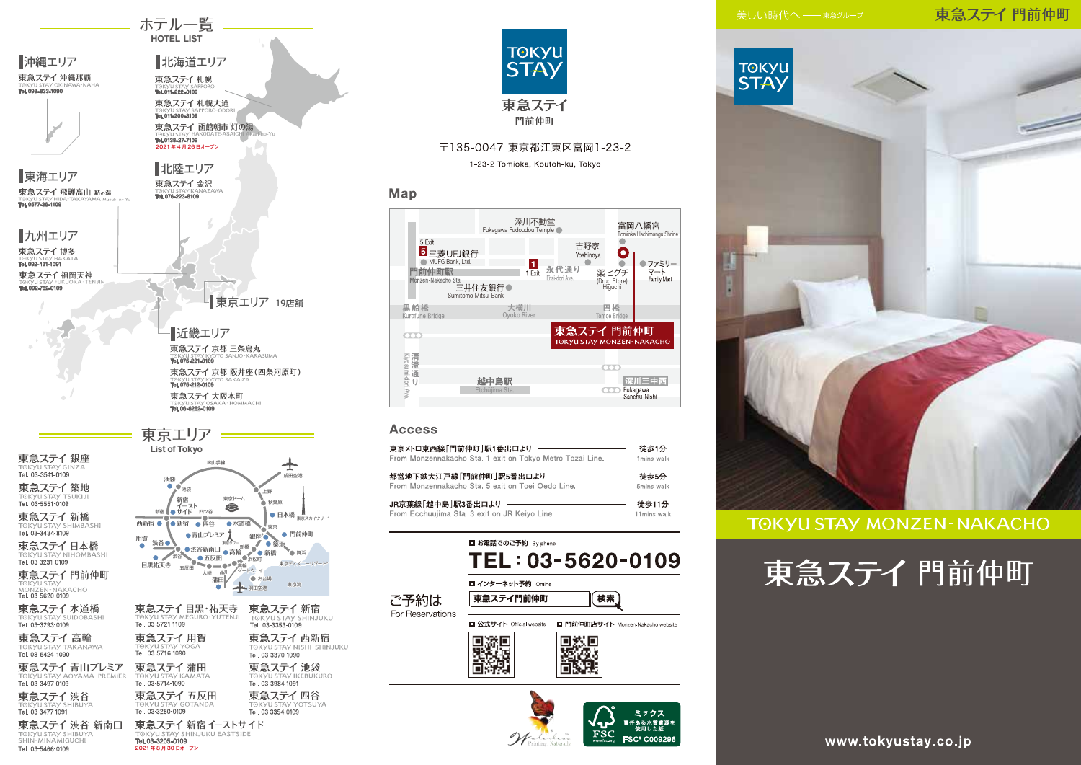## 東急ステイ門前仲町



# **TOKYU STAY MONZEN-NAKACHO**





ホテル一覧 == **HOTEL LIST** 

北海道エリア

東急ステイ札幌

Tel. 011-222-0109

■沖縄エリア

one ses ann un

東急ステイ 沖縄那覇





#### **Access**

Map

| 東京メトロ東西線「門前仲町  駅1番出口より                                                                                                                | 徒歩1分                 |
|---------------------------------------------------------------------------------------------------------------------------------------|----------------------|
| From Monzennakacho Sta. 1 exit on Tokyo Metro Tozai Line.                                                                             | 1mins walk           |
| 都営地下鉄大江戸線「門前仲町」駅5番出口より                                                                                                                | 徒歩5分                 |
| From Monzennakacho Sta. 5 exit on Toei Oedo Line.                                                                                     | 5mins walk           |
| JR京葉線「越中島」駅3番出口より<br>the contract of the contract of the contract of the contract of<br>From Ecchuujima Sta. 3 exit on JR Keiyo Line. | 徒歩11分<br>11mins walk |

|                          | ■ お電話でのご予約 By phone             | TEL: 03-5620-0109                        |
|--------------------------|---------------------------------|------------------------------------------|
| ご予約は<br>For Reservations | ■ インターネット予約 Online<br>東急ステイ門前仲町 | 検索                                       |
|                          | ■ 公式サイト Official website        | <b>□ 門前仲町店サイト Monzen-Nakacho website</b> |



www.tokyustay.co.jp